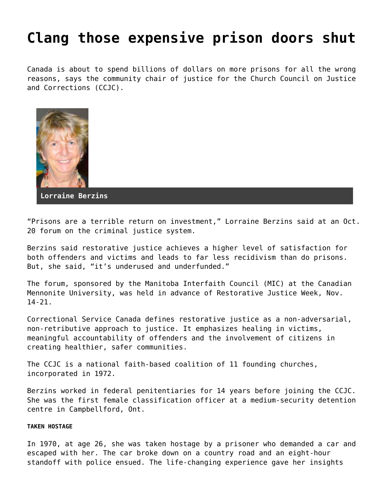## **[Clang those expensive prison doors shut](https://grandinmedia.ca/clang-those-expensive-prison-doors-shut/)**

Canada is about to spend billions of dollars on more prisons for all the wrong reasons, says the community chair of justice for the Church Council on Justice and Corrections (CCJC).



**Lorraine Berzins**

"Prisons are a terrible return on investment," Lorraine Berzins said at an Oct. 20 forum on the criminal justice system.

Berzins said restorative justice achieves a higher level of satisfaction for both offenders and victims and leads to far less recidivism than do prisons. But, she said, "it's underused and underfunded."

The forum, sponsored by the Manitoba Interfaith Council (MIC) at the Canadian Mennonite University, was held in advance of Restorative Justice Week, Nov. 14-21.

Correctional Service Canada defines restorative justice as a non-adversarial, non-retributive approach to justice. It emphasizes healing in victims, meaningful accountability of offenders and the involvement of citizens in creating healthier, safer communities.

The CCJC is a national faith-based coalition of 11 founding churches, incorporated in 1972.

Berzins worked in federal penitentiaries for 14 years before joining the CCJC. She was the first female classification officer at a medium-security detention centre in Campbellford, Ont.

## **TAKEN HOSTAGE**

In 1970, at age 26, she was taken hostage by a prisoner who demanded a car and escaped with her. The car broke down on a country road and an eight-hour standoff with police ensued. The life-changing experience gave her insights